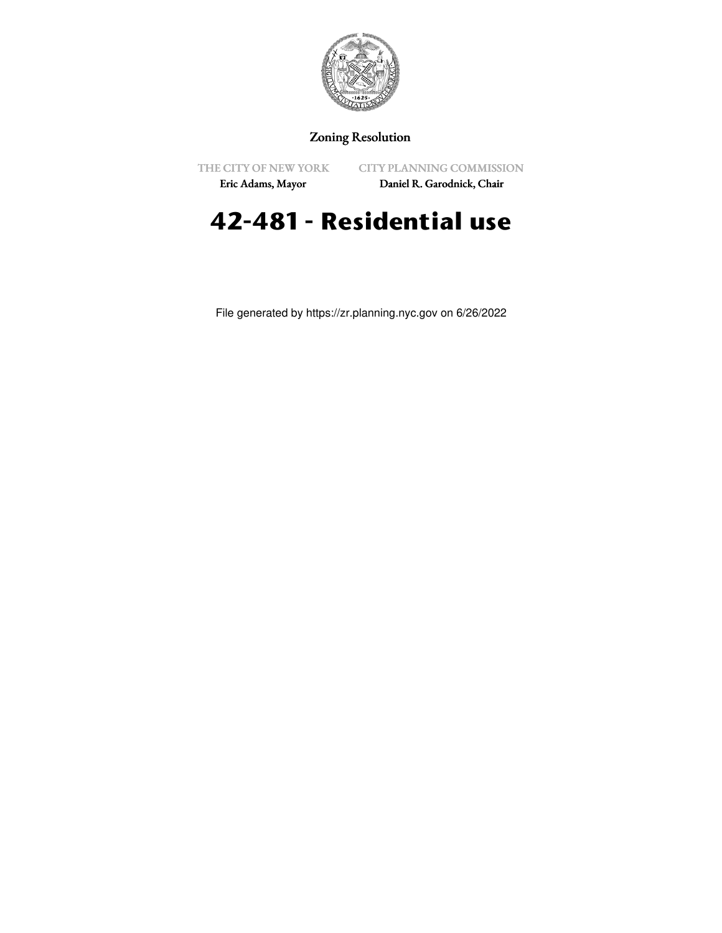

## Zoning Resolution

THE CITY OF NEW YORK

CITY PLANNING COMMISSION

Eric Adams, Mayor

Daniel R. Garodnick, Chair

## **42-481 - Residential use**

File generated by https://zr.planning.nyc.gov on 6/26/2022